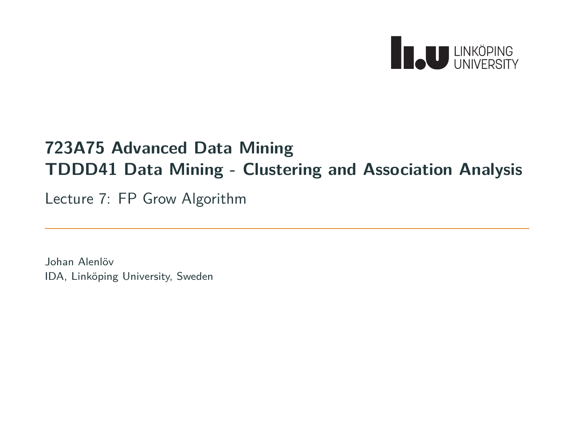

# **723A75 Advanced Data Mining TDDD41 Data Mining - Clustering and Association Analysis**

Lecture 7: FP Grow Algorithm

Johan Alenlöv IDA, Linköping University, Sweden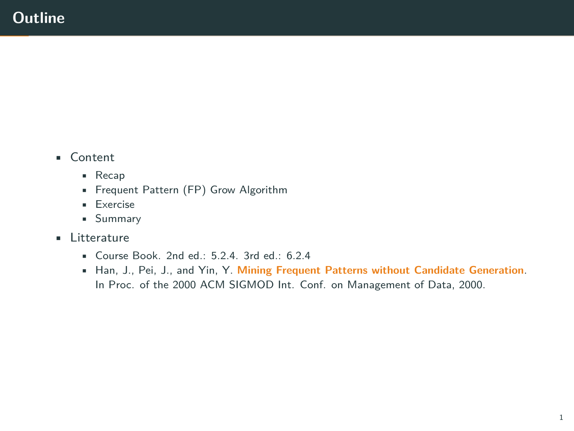- Content
	- Recap
	- Frequent Pattern (FP) Grow Algorithm
	- Exercise
	- Summary
- Litterature
	- Course Book. 2nd ed.: 5.2.4. 3rd ed.: 6.2.4
	- Han, J., Pei, J., and Yin, Y. **Mining Frequent Patterns without Candidate Generation**. In Proc. of the 2000 ACM SIGMOD Int. Conf. on Management of Data, 2000.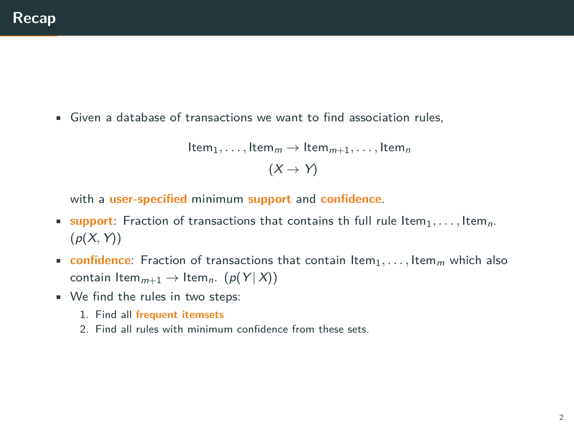• Given a database of transactions we want to find association rules,

```
Item_1, \ldots, Item_m \rightarrow Item_{m+1}, \ldots, Item_n(X \rightarrow Y)
```
with a **user-specified** minimum **support** and **confidence**.

- **•** support: Fraction of transactions that contains th full rule Item<sub>1</sub>, ..., Item<sub>n</sub>.  $(p(X, Y))$
- **confidence**: Fraction of transactions that contain  $\text{Item}_1, \ldots, \text{Item}_m$  which also contain Item<sub>*m*+1</sub>  $\rightarrow$  Item<sub>*n*</sub>. ( $p(Y|X)$ )
- We find the rules in two steps:
	- 1. Find all **frequent itemsets**
	- 2. Find all rules with minimum confidence from these sets.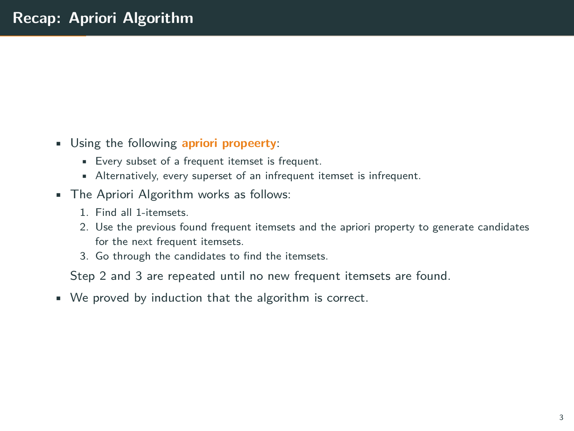- Using the following **apriori propeerty**:
	- Every subset of a frequent itemset is frequent.
	- Alternatively, every superset of an infrequent itemset is infrequent.
- The Apriori Algorithm works as follows:
	- 1. Find all 1-itemsets.
	- 2. Use the previous found frequent itemsets and the apriori property to generate candidates for the next frequent itemsets.
	- 3. Go through the candidates to find the itemsets.

Step 2 and 3 are repeated until no new frequent itemsets are found.

• We proved by induction that the algorithm is correct.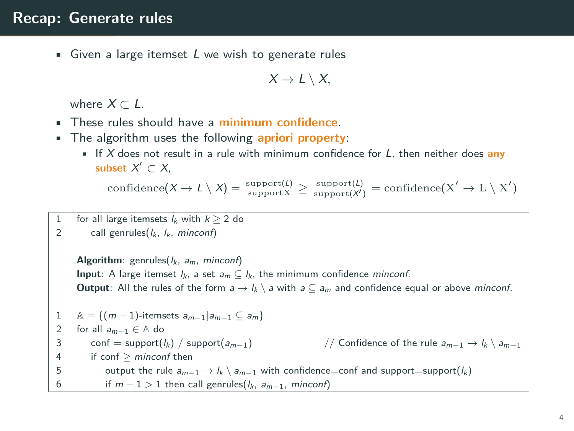#### **Recap: Generate rules**

• Given a large itemset *L* we wish to generate rules

$$
X\to L\setminus X,
$$

where  $X \subset L$ .

- These rules should have a **minimum confidence**.
- The algorithm uses the following **apriori property**:
	- If *X* does not result in a rule with minimum confidence for *L*, then neither does **any subset** *X ′ ⊂ X*,

 $\text{confidence}(X \to L \setminus X) = \frac{\text{support}(L)}{\text{support}(X)} \ge \frac{\text{support}(L)}{\text{support}(X')} = \text{confidence}(X' \to L \setminus X')$ 

- for all large itemsets  $l_k$  with  $k \geq 2$  do
- 2 call genrules(*lk*, *lk*, *minconf*)

**Algorithm**: genrules(*lk*, *am*, *minconf*) **Input**: A large itemset  $l_k$ , a set  $a_m \nsubseteq l_k$ , the minimum confidence *minconf*. **Output**: All the rules of the form  $a \rightarrow l_k \setminus a$  with  $a \subseteq a_m$  and confidence equal or above *minconf*. 1 A = { $(m-1)$ -itemsets  $a_{m-1} | a_{m-1} \subseteq a_m$ }<br>2 for all  $a_{m-1} \in A$  do 2 for all  $a_{m-1} \in A$  do<br>3 conf = support( $l_k$ ) / support( $a_{m-1}$ ) 3 conf = support( $l_k$ ) / support( $a_{m-1}$ ) // Confidence of the rule  $a_{m-1} \to l_k \setminus a_{m-1}$ <br>4 if conf > minconf then 4 if conf *≥ minconf* then 5 output the rule  $a_{m-1} \rightarrow l_k \setminus a_{m-1}$  with confidence=conf and support=support( $l_k$ ) 6 if  $m - 1 > 1$  then call genrules( $l_k$ ,  $a_{m-1}$ , *minconf*)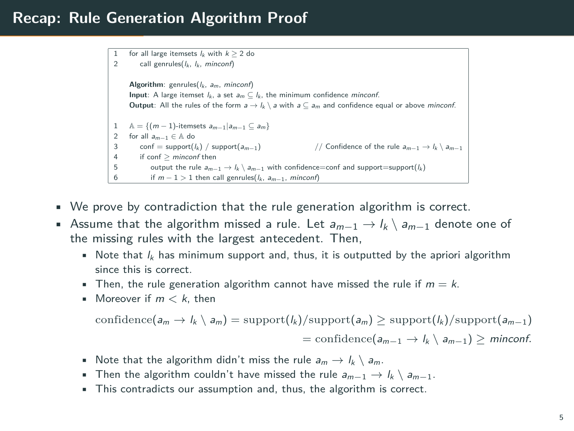#### **Recap: Rule Generation Algorithm Proof**

```
1 for all large itemsets l_k with k \geq 2 do<br>2 call generales l_k by minconfl
         2 call genrules(lk, lk, minconf)
     Algorithm: genrules(lk, am, minconf)
     Input: A large itemset lk, a set am ⊆ lk, the minimum confidence minconf.
     Output: All the rules of the form a \rightarrow lk \setminus a with a \subseteq am and confidence equal or above minconf.
     A = \{(m-1)-itemsets a_{m-1} | a_{m-1} \subseteq a_m\}2 for all a_{m-1} \in A do<br>3 conf = support(l_k) / support(a_{m-1})
3 conf = support(lk) / support(a<sub>m−1</sub>) // Confidence of the rule a<sub>m−1</sub> → lk \setminus a<sub>m−1</sub> 4 if conf > minconf then
         4 if conf ≥ minconf then
             \text{output the rule } a_{m-1} → l_k \setminus a_{m-1} with confidence=conf and support=support(l_k)
             if m − 1 > 1 then call genrules(l_k, a_{m−1}, minconf)
```
- We prove by contradiction that the rule generation algorithm is correct.
- Assume that the algorithm missed a rule. Let *am−*<sup>1</sup> *→ l<sup>k</sup> \ am−*<sup>1</sup> denote one of the missing rules with the largest antecedent. Then,
	- Note that  $l_k$  has minimum support and, thus, it is outputted by the apriori algorithm since this is correct.
	- **•** Then, the rule generation algorithm cannot have missed the rule if  $m = k$ .
	- Moreover if *m < k*, then

$$
\mathrm{confidence}(a_m \rightarrow l_k \setminus a_m) = \mathrm{support}(l_k)/\mathrm{support}(a_m) \geq \mathrm{support}(l_k)/\mathrm{support}(a_{m-1})
$$

 $=$  confidence( $a_{m-1}$   $\rightarrow$   $l_k$   $\langle a_{m-1}$ )  $\geq$  *minconf.* 

- Note that the algorithm didn't miss the rule  $a_m \rightarrow l_k \setminus a_m$ .
- Then the algorithm couldn't have missed the rule  $a_{m-1}$   $\rightarrow$   $l_k \setminus a_{m-1}$ .
- This contradicts our assumption and, thus, the algorithm is correct.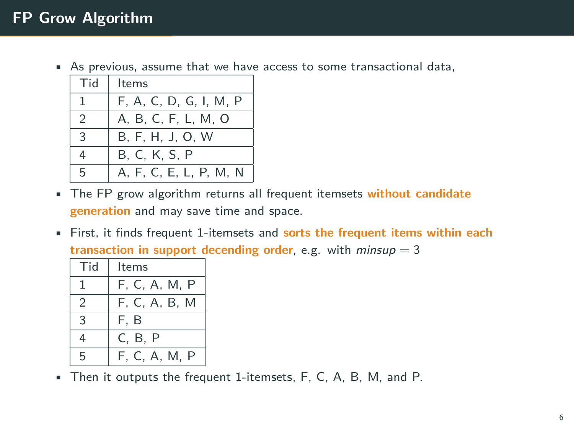• As previous, assume that we have access to some transactional data,

| Tid           | ltems                  |
|---------------|------------------------|
| ı             | F. A. C. D. G. I. M. P |
| $\mathcal{P}$ | A, B, C, F, L, M, O    |
| 3             | B, F, H, J, O, W       |
| 4             | B, C, K, S, P          |
| 5             | A, F, C, E, L, P, M, N |

- The FP grow algorithm returns all frequent itemsets **without candidate generation** and may save time and space.
- First, it finds frequent 1-itemsets and **sorts the frequent items within each transaction in support decending order**, e.g. with *minsup* = 3

| Tid | ltems         |  |
|-----|---------------|--|
| ı   | F. C. A. M. P |  |
| 2   | F, C, A, B, M |  |
| 3   | F. B          |  |
| 4   | C, B, P       |  |
| 5   | F, C, A, M, P |  |

• Then it outputs the frequent 1-itemsets, F, C, A, B, M, and P.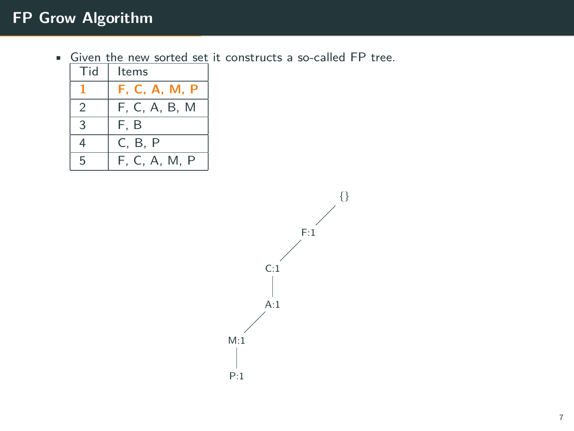| Tid           | Items         |  |
|---------------|---------------|--|
|               | F. C. A. M. P |  |
| $\mathcal{P}$ | F, C, A, B, M |  |
| 3             | F.B           |  |
| 4             | C, B, P       |  |
| 5             | F, C, A, M, P |  |

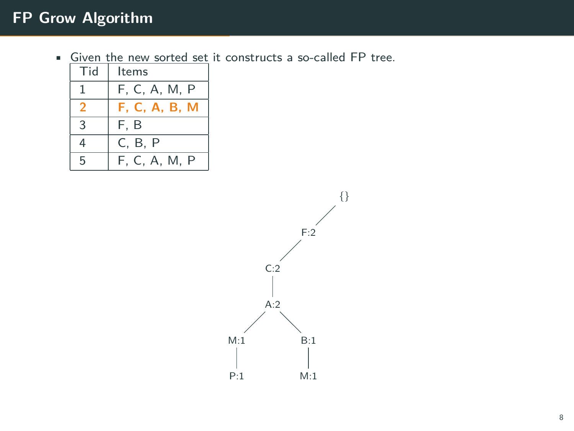| Tid | Items         |  |
|-----|---------------|--|
|     | F, C, A, M, P |  |
| 2   | F. C. A. B. M |  |
| 3   | F.B           |  |
| 4   | C, B, P       |  |
| 5   | F, C, A, M, P |  |

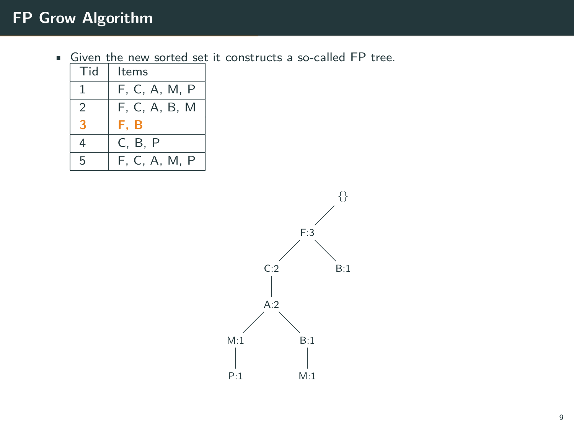| Tid            | Items         |
|----------------|---------------|
|                | F, C, A, M, P |
| $\mathfrak{D}$ | F, C, A, B, M |
|                | F.B           |
| 4              | C, B, P       |
| 5              | F. C. A. M. P |

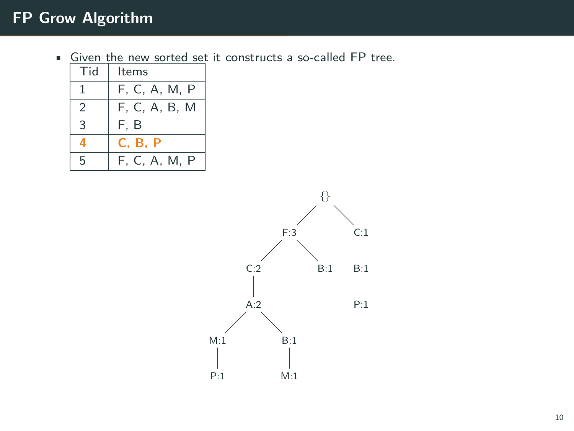| Tid            | Items          |
|----------------|----------------|
|                | F, C, A, M, P  |
| $\mathfrak{D}$ | F, C, A, B, M  |
| 3              | F. B           |
|                | <b>C. B. P</b> |
| 5              | F. C. A. M. P  |

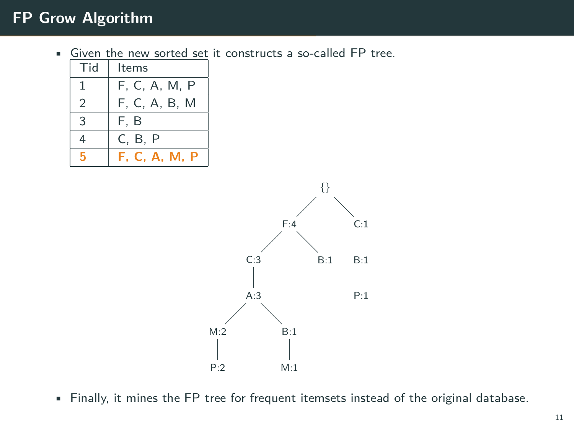• Given the new sorted set it constructs a so-called FP tree.

| Tid           | Items                |
|---------------|----------------------|
|               | F, C, A, M, P        |
| $\mathcal{P}$ | F, C, A, B, M        |
| 3             | F.B                  |
| 4             | C, B, P              |
|               | <b>F. C. A. M. P</b> |



• Finally, it mines the FP tree for frequent itemsets instead of the original database.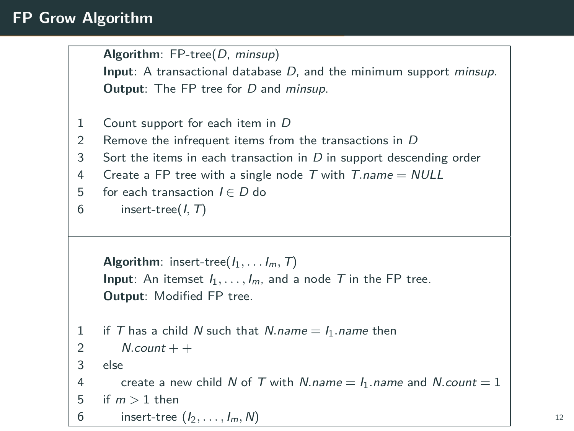```
Algorithm: FP-tree(D, minsup)
    Input: A transactional database D, and the minimum support minsup.
    Output: The FP tree for D and minsup.
1 Count support for each item in D
2 Remove the infrequent items from the transactions in D
3 Sort the items in each transaction in D in support descending order
4 Create a FP tree with a single node T with T.name = NULL
5 for each transaction I ∈ D do
6 insert-tree(I, T)
    Algorithm: insert-tree(I_1, \ldots, I_m, T)
    Input: An itemset I_1, \ldots, I_m, and a node \top in the FP tree.
    Output: Modified FP tree.
1 if T has a child N such that N.name = I_1.name then
2 N.count + +
3 else
4 create a new child N of T with N.name = I_1.name and N.count = 1
5 if m > 1 then
6 insert-tree (I_2, ..., I_m, N) 12
```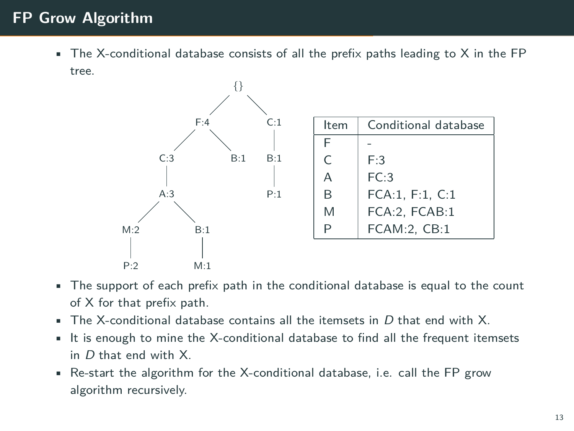$\bullet$  The X-conditional database consists of all the prefix paths leading to X in the FP tree.



- The support of each prefix path in the conditional database is equal to the count of X for that prefix path.
- The X-conditional database contains all the itemsets in *D* that end with X.
- It is enough to mine the X-conditional database to find all the frequent itemsets in *D* that end with X.
- Re-start the algorithm for the X-conditional database, i.e. call the FP grow algorithm recursively.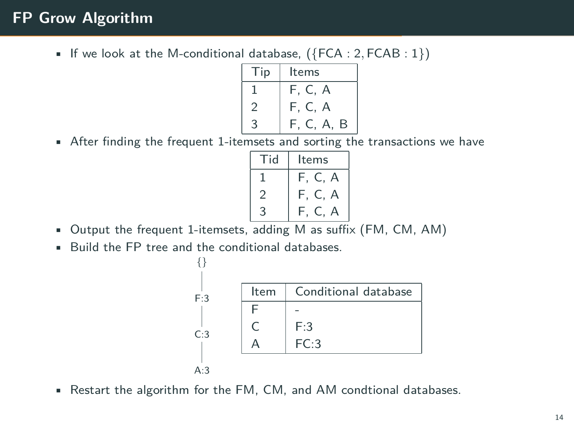• If we look at the M-conditional database, (*{*FCA : 2*,* FCAB : 1*}*)

| l ip | Items      |
|------|------------|
|      | F, C, A    |
| 2    | F. C. A    |
| 3    | F, C, A, B |
|      |            |

• After finding the frequent 1-itemsets and sorting the transactions we have

| id | Items         |
|----|---------------|
|    | F.<br>C.<br>д |
| 2  | F<br>г.<br>А  |
|    | ℶ             |

- Output the frequent 1-itemsets, adding M as suffix (FM, CM, AM)
- Build the FP tree and the conditional databases.



• Restart the algorithm for the FM, CM, and AM condtional databases.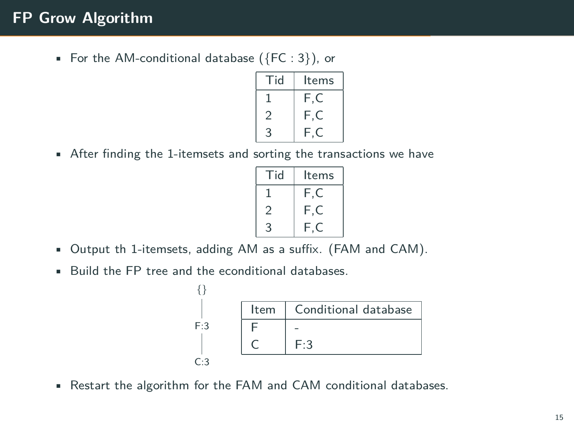• For the AM-conditional database (*{*FC : 3*}*), or

| Tid | Items   |
|-----|---------|
|     | F.C     |
|     | F.<br>C |
| 3   | F<br>C. |

• After finding the 1-itemsets and sorting the transactions we have

| Гid | ltems   |
|-----|---------|
|     | F<br>Č. |
| ン   | F<br>Ξ  |
| 2   |         |

- Output th 1-itemsets, adding AM as a suffix. (FAM and CAM).
- Build the FP tree and the econditional databases.

|         | Item | Conditional database |
|---------|------|----------------------|
| F:3     |      |                      |
|         |      | F:3                  |
| $\cdot$ |      |                      |

• Restart the algorithm for the FAM and CAM conditional databases.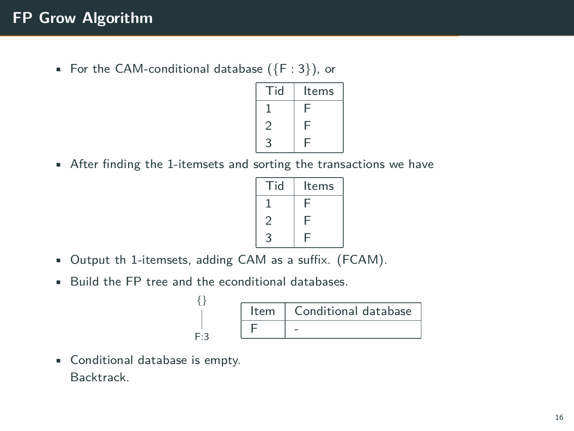• For the CAM-conditional database (*{*F : 3*}*), or

| Гid | Items |
|-----|-------|
|     |       |
|     | Α     |
| ว   |       |

• After finding the 1-itemsets and sorting the transactions we have

| Гid | Items |
|-----|-------|
|     | Ē     |
|     | F     |
| ς   |       |

- Output th 1-itemsets, adding CAM as a suffix. (FCAM).
- Build the FP tree and the econditional databases. *{}*

F:3

| Item |
|------|
|      |

• Conditional database is empty. Backtrack.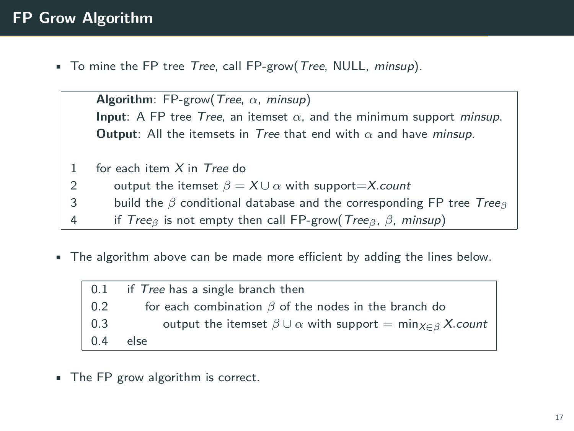• To mine the FP tree *Tree*, call FP-grow(*Tree*, NULL, *minsup*).

|              | <b>Algorithm:</b> FP-grow( <i>Tree, <math>\alpha</math>, minsup</i> )                                                        |  |  |
|--------------|------------------------------------------------------------------------------------------------------------------------------|--|--|
|              | <b>Input:</b> A FP tree <i>Tree</i> , an itemset $\alpha$ , and the minimum support <i>minsup</i> .                          |  |  |
|              | <b>Output:</b> All the itemsets in <i>Tree</i> that end with $\alpha$ and have <i>minsup</i> .                               |  |  |
|              |                                                                                                                              |  |  |
| $\mathbf{1}$ | for each item $X$ in Tree do                                                                                                 |  |  |
| 2            | output the itemset $\beta = X \cup \alpha$ with support=X.count                                                              |  |  |
| 3            | build the $\beta$ conditional database and the corresponding FP tree Tree <sub><math>\beta</math></sub>                      |  |  |
| 4            | if Tree <sub><math>\beta</math></sub> is not empty then call FP-grow (Tree <sub><math>\beta</math></sub> , $\beta$ , minsup) |  |  |
|              |                                                                                                                              |  |  |

• The algorithm above can be made more efficient by adding the lines below.

| 0.1 | if <i>Tree</i> has a single branch then                                             |
|-----|-------------------------------------------------------------------------------------|
| 0.2 | for each combination $\beta$ of the nodes in the branch do                          |
| 0.3 | output the itemset $\beta \cup \alpha$ with support = min $_{X \in \beta} X$ .count |
| 04  | else                                                                                |

• The FP grow algorithm is correct.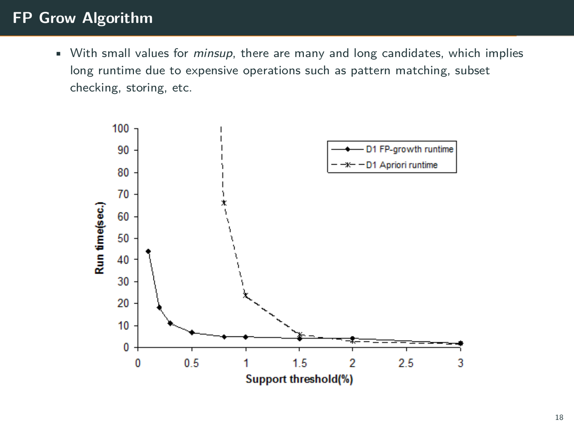• With small values for *minsup*, there are many and long candidates, which implies long runtime due to expensive operations such as pattern matching, subset checking, storing, etc.

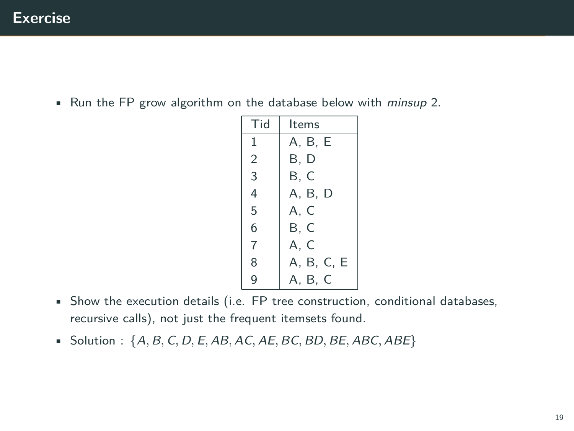• Run the FP grow algorithm on the database below with *minsup* 2.

| Tid            | Items      |
|----------------|------------|
| 1              | A, B, E    |
| $\overline{2}$ | B. D       |
| 3              | B. C       |
| 4              | A, B, D    |
| 5              | A, C       |
| 6              | B, C       |
| $\overline{7}$ | A, C       |
| 8              | A, B, C, E |
| 9              | A, B, C    |

- Show the execution details (i.e. FP tree construction, conditional databases, recursive calls), not just the frequent itemsets found.
- Solution:  $\{A, B, C, D, E, AB, AC, AE, BC, BD, BE, ABC, ABE\}$